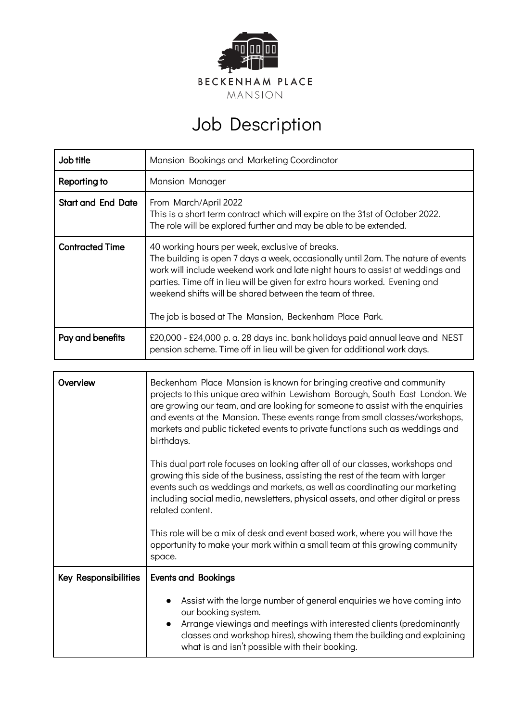

## Job Description

| Job title                 | Mansion Bookings and Marketing Coordinator                                                                                                                                                                                                                                                                                                                                                                                |
|---------------------------|---------------------------------------------------------------------------------------------------------------------------------------------------------------------------------------------------------------------------------------------------------------------------------------------------------------------------------------------------------------------------------------------------------------------------|
| Reporting to              | Mansion Manager                                                                                                                                                                                                                                                                                                                                                                                                           |
| <b>Start and End Date</b> | From March/April 2022<br>This is a short term contract which will expire on the 31st of October 2022.<br>The role will be explored further and may be able to be extended.                                                                                                                                                                                                                                                |
| <b>Contracted Time</b>    | 40 working hours per week, exclusive of breaks.<br>The building is open 7 days a week, occasionally until 2am. The nature of events<br>work will include weekend work and late night hours to assist at weddings and<br>parties. Time off in lieu will be given for extra hours worked. Evening and<br>weekend shifts will be shared between the team of three.<br>The job is based at The Mansion, Beckenham Place Park. |
| Pay and benefits          | £20,000 - £24,000 p. a. 28 days inc. bank holidays paid annual leave and NEST<br>pension scheme. Time off in lieu will be given for additional work days.                                                                                                                                                                                                                                                                 |

| Overview             | Beckenham Place Mansion is known for bringing creative and community<br>projects to this unique area within Lewisham Borough, South East London. We<br>are growing our team, and are looking for someone to assist with the enquiries<br>and events at the Mansion. These events range from small classes/workshops,<br>markets and public ticketed events to private functions such as weddings and<br>birthdays. |
|----------------------|--------------------------------------------------------------------------------------------------------------------------------------------------------------------------------------------------------------------------------------------------------------------------------------------------------------------------------------------------------------------------------------------------------------------|
|                      | This dual part role focuses on looking after all of our classes, workshops and<br>growing this side of the business, assisting the rest of the team with larger<br>events such as weddings and markets, as well as coordinating our marketing<br>including social media, newsletters, physical assets, and other digital or press<br>related content.                                                              |
|                      | This role will be a mix of desk and event based work, where you will have the<br>opportunity to make your mark within a small team at this growing community<br>space.                                                                                                                                                                                                                                             |
| Key Responsibilities | <b>Events and Bookings</b>                                                                                                                                                                                                                                                                                                                                                                                         |
|                      | Assist with the large number of general enquiries we have coming into<br>our booking system.<br>Arrange viewings and meetings with interested clients (predominantly<br>$\bullet$<br>classes and workshop hires), showing them the building and explaining<br>what is and isn't possible with their booking.                                                                                                       |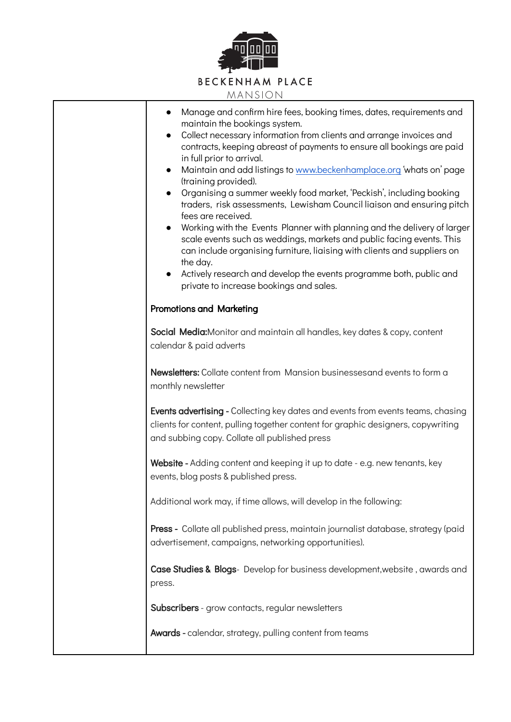

| Manage and confirm hire fees, booking times, dates, requirements and<br>maintain the bookings system.<br>Collect necessary information from clients and arrange invoices and<br>$\bullet$<br>contracts, keeping abreast of payments to ensure all bookings are paid<br>in full prior to arrival.<br>Maintain and add listings to www.beckenhamplace.org 'whats on' page<br>$\bullet$<br>(training provided).<br>Organising a summer weekly food market, 'Peckish', including booking<br>traders, risk assessments, Lewisham Council liaison and ensuring pitch<br>fees are received.<br>Working with the Events Planner with planning and the delivery of larger<br>$\bullet$<br>scale events such as weddings, markets and public facing events. This<br>can include organising furniture, liaising with clients and suppliers on<br>the day.<br>Actively research and develop the events programme both, public and<br>private to increase bookings and sales. |
|------------------------------------------------------------------------------------------------------------------------------------------------------------------------------------------------------------------------------------------------------------------------------------------------------------------------------------------------------------------------------------------------------------------------------------------------------------------------------------------------------------------------------------------------------------------------------------------------------------------------------------------------------------------------------------------------------------------------------------------------------------------------------------------------------------------------------------------------------------------------------------------------------------------------------------------------------------------|
| <b>Promotions and Marketing</b>                                                                                                                                                                                                                                                                                                                                                                                                                                                                                                                                                                                                                                                                                                                                                                                                                                                                                                                                  |
| Social Media: Monitor and maintain all handles, key dates & copy, content<br>calendar & paid adverts                                                                                                                                                                                                                                                                                                                                                                                                                                                                                                                                                                                                                                                                                                                                                                                                                                                             |
| Newsletters: Collate content from Mansion businessesand events to form a<br>monthly newsletter                                                                                                                                                                                                                                                                                                                                                                                                                                                                                                                                                                                                                                                                                                                                                                                                                                                                   |
| <b>Events advertising</b> - Collecting key dates and events from events teams, chasing<br>clients for content, pulling together content for graphic designers, copywriting<br>and subbing copy. Collate all published press                                                                                                                                                                                                                                                                                                                                                                                                                                                                                                                                                                                                                                                                                                                                      |
| Website - Adding content and keeping it up to date - e.g. new tenants, key<br>events, blog posts & published press.                                                                                                                                                                                                                                                                                                                                                                                                                                                                                                                                                                                                                                                                                                                                                                                                                                              |
| Additional work may, if time allows, will develop in the following:                                                                                                                                                                                                                                                                                                                                                                                                                                                                                                                                                                                                                                                                                                                                                                                                                                                                                              |
| <b>Press -</b> Collate all published press, maintain journalist database, strategy (paid<br>advertisement, campaigns, networking opportunities).                                                                                                                                                                                                                                                                                                                                                                                                                                                                                                                                                                                                                                                                                                                                                                                                                 |
| Case Studies & Blogs- Develop for business development, website, awards and<br>press.                                                                                                                                                                                                                                                                                                                                                                                                                                                                                                                                                                                                                                                                                                                                                                                                                                                                            |
| Subscribers - grow contacts, regular newsletters                                                                                                                                                                                                                                                                                                                                                                                                                                                                                                                                                                                                                                                                                                                                                                                                                                                                                                                 |
| Awards - calendar, strategy, pulling content from teams                                                                                                                                                                                                                                                                                                                                                                                                                                                                                                                                                                                                                                                                                                                                                                                                                                                                                                          |